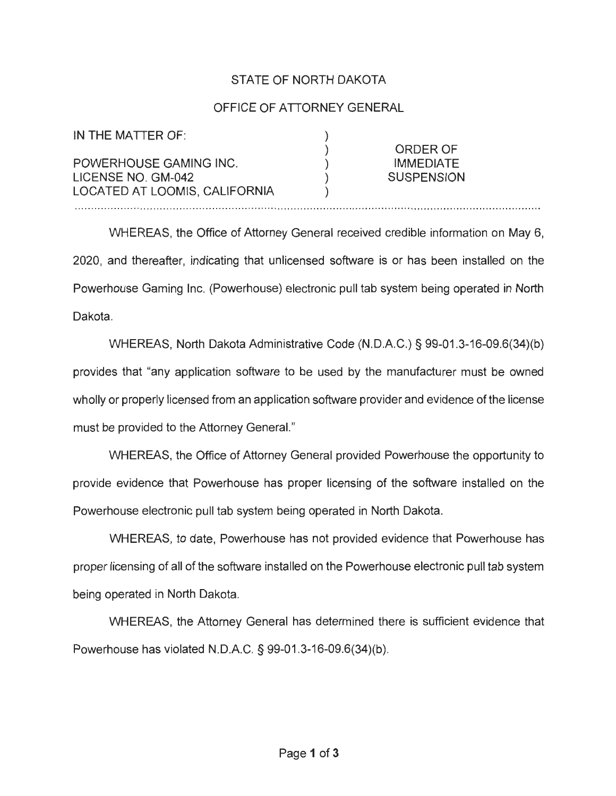## STATE OF NORTH DAKOTA

## OFFICE OF ATTORNEY GENERAL

| IN THE MATTER OF:             |                   |
|-------------------------------|-------------------|
|                               | <b>ORDER OF</b>   |
| POWERHOUSE GAMING INC.        | <b>IMMEDIATE</b>  |
| LICENSE NO. GM-042            | <b>SUSPENSION</b> |
| LOCATED AT LOOMIS, CALIFORNIA |                   |

WHEREAS, the Office of Attorney General received credible information on May 6, 2020, and thereafter, indicating that unlicensed software is or has been installed on the Powerhouse Gaming Inc. (Powerhouse) electronic pull tab system being operated in North Dakota.

WHEREAS, North Dakota Administrative Code (N.D.A.C.) § 99-01.3-16-09.6(34)(b) provides that "any application software to be used by the manufacturer must be owned wholly or properly licensed from an application software provider and evidence of the license must be provided to the Attorney General."

WHEREAS, the Office of Attorney General provided Powerhouse the opportunity to provide evidence that Powerhouse has proper licensing of the software installed on the Powerhouse electronic pull tab system being operated in North Dakota.

WHEREAS, to date, Powerhouse has not provided evidence that Powerhouse has proper licensing of all of the software installed on the Powerhouse electronic pull tab system being operated in North Dakota.

WHEREAS, the Attorney General has determined there is sufficient evidence that Powerhouse has violated N.D.A.C. § 99-01 .3-16-09.6(34)(b).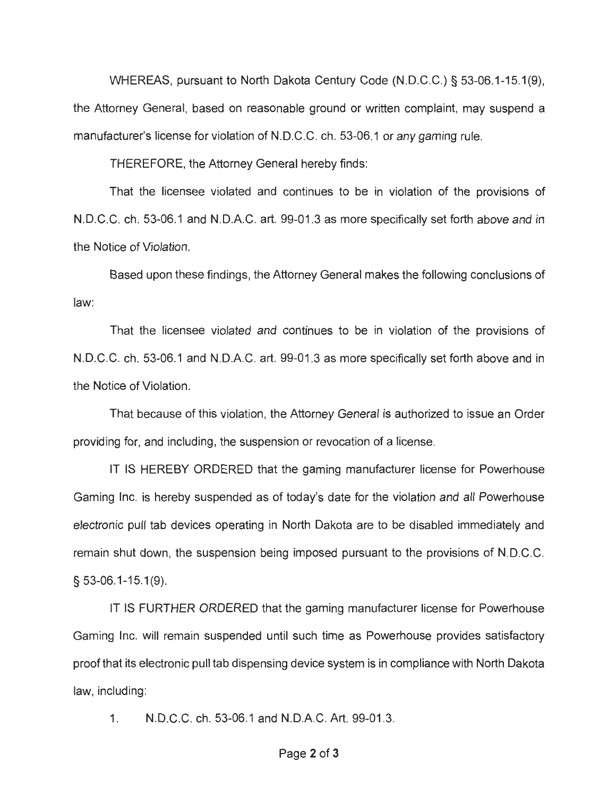WHEREAS, pursuant to North Dakota Century Code (N.D.C.C.) § 53-06.1-15.1 (9), the Attorney General, based on reasonable ground or written complaint, may suspend a manufacturer's license for violation of N.D.C.C. ch. 53-06.1 or any gaming rule.

THEREFORE, the Attorney General hereby finds:

That the licensee violated and continues to be in violation of the provisions of N.D.C.C. ch . 53-06.1 and N.D.A.C. art. 99-01 .3 as more specifically set forth above and in the Notice of Violation.

Based upon these findings, the Attorney General makes the following conclusions of law:

That the licensee violated and continues to be in violation of the provisions of N.D.C.C. ch. 53-06.1 and N.D.A.C. art. 99-01 .3 as more specifically set forth above and in the Notice of Violation.

That because of this violation, the Attorney General is authorized to issue an Order providing for, and including , the suspension or revocation of a license.

IT IS HEREBY ORDERED that the gaming manufacturer license for Powerhouse Gaming Inc. is hereby suspended as of today's date for the violation and all Powerhouse electronic pull tab devices operating in North Dakota are to be disabled immediately and remain shut down, the suspension being imposed pursuant to the provisions of N.D.C.C. § 53-06.1-15.1 (9).

IT IS FURTHER ORDERED that the gaming manufacturer license for Powerhouse Gaming Inc. will remain suspended until such time as Powerhouse provides satisfactory proof that its electronic pull tab dispensing device system is in compliance with North Dakota law, including:

1. N.D.C.C. ch. 53-06.1 and N.D.A.C. Art. 99-01 .3.